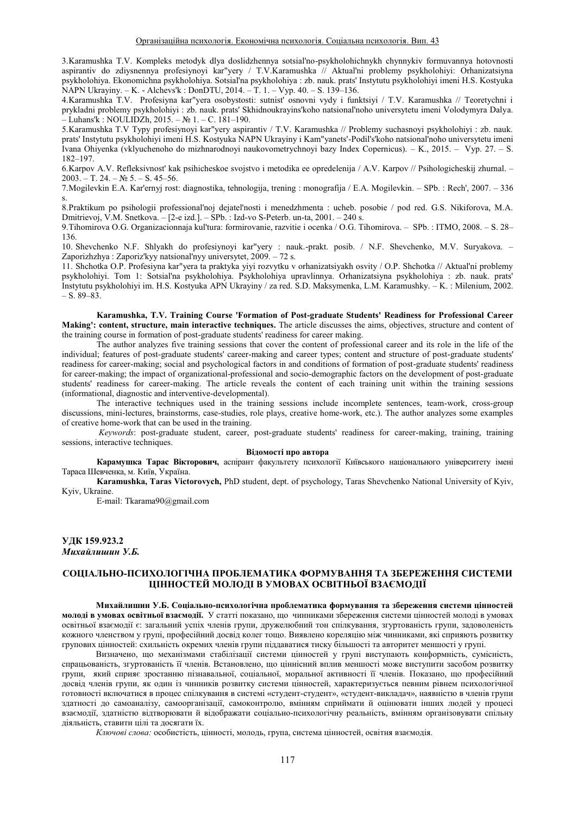3. Karamushka T.V. Kompleks metodyk dlya doslidzhennya sotsial'no-psykholohichnykh chynnykiv formuvannya hotovnosti aspirantiv do zdiysnennya profesiynoyi kar"yery / T.V.Karamushka // Aktual'ni problemy psykholohiyi: Orhanizatsiyna psykholohiya. Ekonomichna psykholohiya. Sotsial'na psykholohiya : zb. nauk. prats' Instytutu psykholohiyi imeni H.S. Kostyuka NAPN Ukrayiny.  $-$  K. - Alchevs'k: DonDTU, 2014.  $-$  T. 1.  $-$  Vyp. 40.  $-$  S. 139–136.

4. Karamushka T.V. Profesiyna kar"yera osobystosti: sutnist' osnovni vydy i funktsiyi / T.V. Karamushka // Teoretychni i prykladni problemy psykholohiyi : zb. nauk. prats' Skhidnoukrayins'koho natsional'noho universytetu imeni Volodymyra Dalya.  $-Luhans'k : NOLLIDZh, 2015. - N<sub>2</sub> 1. - C. 181-190.$ 

5. Karamushka T.V Typy profesiynoyi kar"yery aspirantiv / T.V. Karamushka // Problemy suchasnoyi psykholohiyi : zb. nauk. prats' Instytutu psykholohiyi imeni H.S. Kostyuka NAPN Ukrayiny i Kam"yanets'-Podil's'koho natsional'noho universytetu imeni Ivana Ohiyenka (vklyuchenoho do mizhnarodnoyi naukovometrychnoyi bazy Index Copernicus). - K., 2015. – Vyp. 27. – S. 182±197.

6. Karpov A.V. Refleksivnost' kak psihicheskoe svojstvo i metodika ee opredelenija / A.V. Karpov // Psihologicheskij zhurnal. ±  $2003 - T$ , 24. – No 5. – S. 45–56.

7. Mogilevkin E.A. Kar'ernyj rost: diagnostika, tehnologija, trening : monografija / E.A. Mogilevkin. ± SPb. : Rech', 2007. ± 336 s.

8. Praktikum po psihologii professional'noj dejatel'nosti i menedzhmenta : ucheb. posobie / pod red. G.S. Nikiforova, M.A. Dmitrievoj, V.M. Snetkova.  $-$  [2-e izd.].  $-$  SPb. : Izd-vo S-Peterb. un-ta, 2001.  $-$  240 s.

9. Tihomirova O.G. Organizacionnaja kul'tura: formirovanie, razvitie i ocenka / O.G. Tihomirova. - SPb. : ITMO, 2008. - S. 28-136.

10. Shevchenko N.F. Shlyakh do profesiynoyi kar"yery : nauk.-prakt. posib. / N.F. Shevchenko, M.V. Suryakova. -Zaporizhzhya : Zaporiz'kyy natsional'nyy universytet, 2009. - 72 s.

11. Shchotka O.P. Profesiyna kar"yera ta praktyka yiyi rozvytku v orhanizatsiyakh osvity / O.P. Shchotka // Aktual'ni problemy psykholohiyi. Tom 1: Sotsial'na psykholohiya. Psykholohiya upravlinnya. Orhanizatsiyna psykholohiya : zb. nauk. prats' Instytutu psykholohiyi im. H.S. Kostyuka APN Ukrayiny / za red. S.D. Maksymenka, L.M. Karamushky. ± K. : Milenium, 2002.  $- S. 89 - 83.$ 

**Karamushka, T.V. Training Course 'Formation of Post-graduate Students' Readiness for Professional Career Making': content, structure, main interactive techniques.** The article discusses the aims, objectives, structure and content of the training course in formation of post-graduate students' readiness for career making.

The author analyzes five training sessions that cover the content of professional career and its role in the life of the individual; features of post-graduate students' career-making and career types; content and structure of post-graduate students' readiness for career-making; social and psychological factors in and conditions of formation of post-graduate students' readiness for career-making; the impact of organizational-professional and socio-demographic factors on the development of post-graduate students' readiness for career-making. The article reveals the content of each training unit within the training sessions (informational, diagnostic and interventive-developmental).

The interactive techniques used in the training sessions include incomplete sentences, team-work, cross-group discussions, mini-lectures, brainstorms, case-studies, role plays, creative home-work, etc.). The author analyzes some examples of creative home-work that can be used in the training.

 *Keywords*: post-graduate student, career, post-graduate students' readiness for career-making, training, training sessions, interactive techniques.

#### **Відомості про автора**

Карамушка Тарас Вікторович, аспірант факультету психології Київського національного університету імені Тараса Шевченка, м. Київ, Україна.

**Karamushka, Taras Victorovych,** PhD student, dept. of psychology, Taras Shevchenko National University of Kyiv, Kyiv, Ukraine.

E-mail: Tkarama90@gmail.com

УЛК 159.923.2  $M$ ихайлишин У.Б.

# **ɋɈɐȱȺɅɖɇɈ-ɉɋɂɏɈɅɈȽȱɑɇȺɉɊɈȻɅȿɆȺɌɂɄȺ ɎɈɊɆɍȼȺɇɇəɌȺɁȻȿɊȿɀȿɇɇəɋɂɋɌȿɆɂ ШННОСТЕЙ МОЛОЛІ В УМОВАХ ОСВІТНЬОЇ ВЗАЄМОЛІЇ**

Михайлишин У.Б. Соціально-психологічна проблематика формування та збереження системи цінностей молоді в умовах освітньої взаємодії. У статті показано, що чинниками збереження системи цінностей молоді в умовах освітньої взаємодії є: загальний успіх членів групи, дружелюбний тон спілкування, згуртованість групи, задоволеність кожного членством у групі, професійний досвід колег тощо. Виявлено кореляцію між чинниками, які сприяють розвитку групових цінностей: схильність окремих членів групи піддаватися тиску більшості та авторитет меншості у групі.

Визначено, що механізмами стабілізації системи цінностей у групі виступають конформність, сумісність, спрацьованість, згуртованість її членів. Встановлено, що ціннісний вплив меншості може виступити засобом розвитку групи, який сприяє зростанню пізнавальної, соціальної, моральної активності її членів. Показано, що професійний досвід членів групи, як один із чинників розвитку системи цінностей, характеризується певним рівнем психологічної готовності включатися в процес спілкування в системі «студент-студент», «студент-викладач», наявністю в членів групи здатності до самоаналізу, самоорганізації, самоконтролю, вмінням сприймати й оцінювати інших людей у процесі взаємодії, здатністю відтворювати й відображати соціально-психологічну реальність, вмінням організовувати спільну діяльність, ставити цілі та досягати їх.

Ключові слова: особистість, цінності, молодь, група, система цінностей, освітня взаємодія.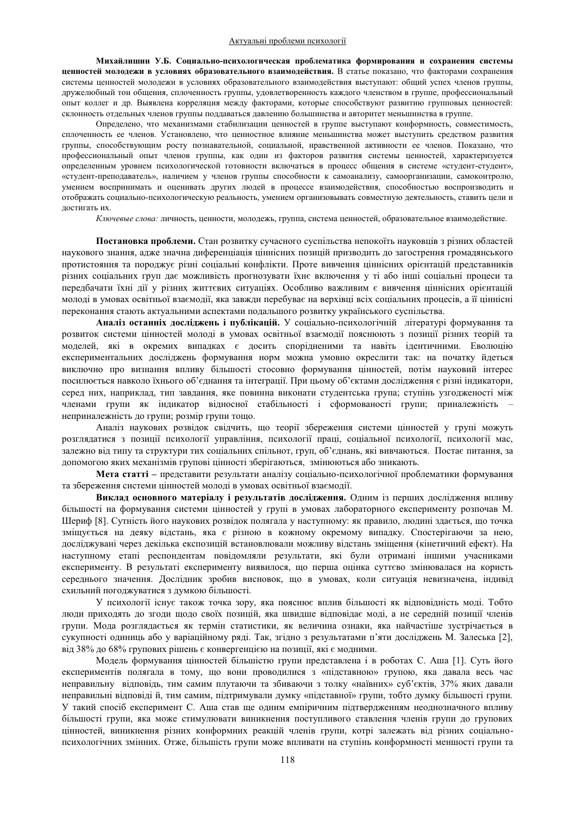Михайлишин У.Б. Социально-психологическая проблематика формирования и сохранения системы **иенностей молодежи в условиях образовательного взаимодействия.** В статье показано, что факторами сохранения системы ценностей молодежи в условиях образовательного взаимодействия выступают: общий успех членов группы, дружелюбный тон общения, сплоченность группы, удовлетворенность каждого членством в группе, профессиональный опыт коллег и др. Выявлена корреляция между факторами, которые способствуют развитию групповых ценностей: склонность отдельных членов группы поддаваться давлению большинства и авторитет меньшинства в группе.

Определено, что механизмами стабилизации ценностей в группе выступают конформность, совместимость, сплоченность ее членов. Установлено, что ценностное влияние меньшинства может выступить средством развития группы, способствующим росту познавательной, социальной, нравственной активности ее членов. Показано, что профессиональный опыт членов группы, как один из факторов развития системы ценностей, характеризуется определенным уровнем психологической готовности включаться в процесс общения в системе «студент-студент», «студент-преподаватель», наличием у членов группы способности к самоанализу, самоорганизации, самоконтролю, умением воспринимать и оценивать других людей в процессе взаимодействия, способностью воспроизводить и отображать социально-психологическую реальность, умением организовывать совместную деятельность, ставить цели и достигать их.

Ключевые слова: личность, ценности, молодежь, группа, система ценностей, образовательное взаимодействие.

Постановка проблеми. Стан розвитку сучасного суспільства непокоїть науковців з різних областей наукового знання, адже значна диференціація ціннісних позицій призводить до загострення громадянського протистояння та породжує різні соціальні конфлікти. Проте вивчення ціннісних орієнтацій представників різних соціальних груп дає можливість прогнозувати їхнє включення у ті або інші соціальні процеси та передбачати їхні дії у різних життєвих ситуаціях. Особливо важливим є вивчення ціннісних орієнтацій молоді в умовах освітньої взаємодії, яка завжди перебуває на верхівці всіх соціальних процесів, а її ціннісні переконання стають актуальними аспектами подальшого розвитку українського суспільства.

Аналіз останніх досліджень і публікацій. У соціально-психологічній літературі формування та розвиток системи цінностей молоді в умовах освітньої взаємодії пояснюють з позиції різних теорій та моделей, які в окремих випадках є досить спорідненими та навіть ідентичними. Еволюцію експериментальних досліджень формування норм можна умовно окреслити так: на початку йдеться виключно про визнання впливу більшості стосовно формування цінностей, потім науковий інтерес посилюється навколо їхнього об'єднання та інтеграції. При цьому об'єктами дослідження є різні індикатори, серед них, наприклад, тип завдання, яке повинна виконати студентська група; ступінь узгодженості між членами групи як індикатор відносної стабільності і сформованості групи; приналежність – неприналежність до групи; розмір групи тощо.

Аналіз наукових розвідок свідчить, що теорії збереження системи цінностей у групі можуть розглядатися з позиції психології управління, психології праці, соціальної психології, психології мас, залежно від типу та структури тих соціальних спільнот, груп, об'єднань, які вивчаються. Постає питання, за допомогою яких механізмів групові цінності зберігаються, змінюються або зникають.

**Мета статті** – представити результати аналізу соціально-психологічної проблематики формування та збереження системи цінностей молоді в умовах освітньої взаємодії.

Виклад основного матеріалу і результатів дослідження. Одним із перших дослідження впливу більшості на формування системи цінностей у групі в умовах лабораторного експерименту розпочав М. Шериф [8]. Сутність його наукових розвідок полягала у наступному: як правило, людині здається, що точка зміщується на деяку відстань, яка є різною в кожному окремому випадку. Спостерігаючи за нею, досліджувані через декілька експозицій встановлювали можливу відстань зміщення (кінетичний ефект). На наступному етапі респондентам повідомляли результати, які були отримані іншими учасниками експерименту. В результаті експерименту виявилося, що перша оцінка суттєво змінювалася на користь середнього значення. Дослідник зробив висновок, що в умовах, коли ситуація невизначена, індивід схильний погоджуватися з думкою більшості.

У психології існує також точка зору, яка пояснює вплив більшості як відповідність моді. Тобто люди приходять до згоди щодо своїх позицій, яка швидше відповідає моді, а не середній позиції членів групи. Мода розглядається як термін статистики, як величина ознаки, яка найчастіше зустрічається в сукупності одиниць або у варіаційному ряді. Так, згідно з результатами п'яти досліджень М. Залеська [2], від 38% до 68% групових рішень є конвергенцією на позиції, які є модними.

Модель формування цінностей більшістю групи представлена і в роботах С. Аша [1]. Суть його експериментів полягала в тому, що вони проводилися з «підставною» групою, яка давала весь час неправильну відповідь, тим самим плутаючи та збиваючи з толку «наївних» суб'єктів, 37% яких давали неправильні відповіді й, тим самим, підтримували думку «підставної» групи, тобто думку більшості групи. У такий спосіб експеримент С. Аша став ще одним емпіричним підтвердженням неоднозначного впливу більшості групи, яка може стимулювати виникнення поступливого ставлення членів групи до групових цінностей, виникнення різних конформних реакцій членів групи, котрі залежать від різних соціальнопсихологічних змінних. Отже, більшість групи може впливати на ступінь конформності меншості групи та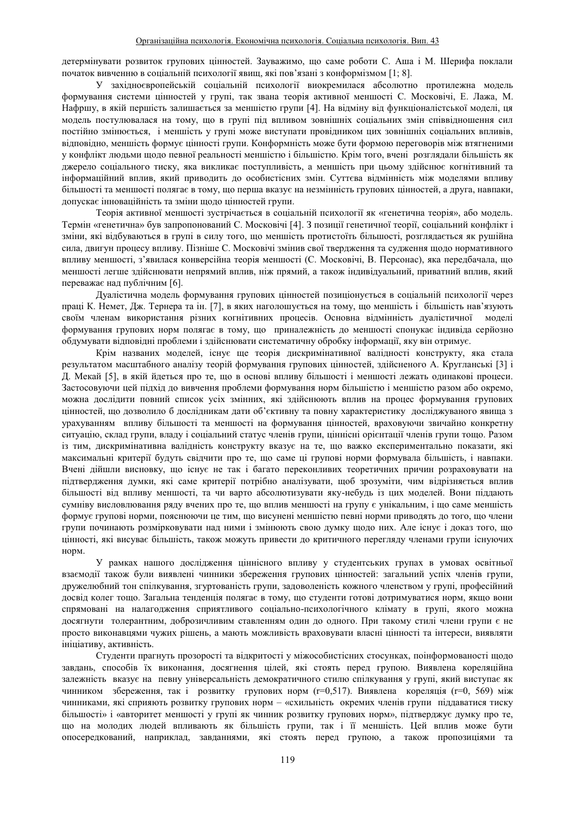детермінувати розвиток групових цінностей. Зауважимо, що саме роботи С. Аша і М. Шерифа поклали початок вивченню в соціальній психології явищ, які пов'язані з конформізмом [1; 8].

У західноєвропейській соціальній психології виокремилася абсолютно протилежна модель формування системи цінностей у групі, так звана теорія активної меншості С. Московічі, Е. Лажа, М. Нафршу, в якій першість залишається за меншістю групи [4]. На відміну від функціоналістської моделі, ця модель постулювалася на тому, що в групі під впливом зовнішніх соціальних змін співвідношення сил постійно змінюється, і меншість у групі може виступати провідником цих зовнішніх соціальних впливів, відповідно, меншість формує цінності групи. Конформність може бути формою переговорів між втягненими у конфлікт людьми щодо певної реальності меншістю і більшістю. Крім того, вчені розглядали більшість як джерело соціального тиску, яка викликає поступливість, а меншість при цьому здійснює когнітивний та інформаційний вплив, який приводить до особистісних змін. Суттєва відмінність між моделями впливу більшості та меншості полягає в тому, що перша вказує на незмінність групових цінностей, а друга, навпаки, допускає інноваційність та зміни щодо цінностей групи.

Теорія активної меншості зустрічається в соціальній психології як «генетична теорія», або модель. Термін «генетична» був запропонований С. Московічі [4]. З позиції генетичної теорії, соціальний конфлікт і зміни, які відбуваються в групі в силу того, що меншість протистоїть більшості, розглядається як рушійна сила, двигун процесу впливу. Пізніше С. Московічі змінив свої твердження та судження щодо нормативного впливу меншості, з'явилася конверсійна теорія меншості (С. Московічі, В. Персонас), яка передбачала, що меншості легше здійснювати непрямий вплив, ніж прямий, а також індивідуальний, приватний вплив, який переважає над публічним [6].

Дуалістична модель формування групових цінностей позиціонується в соціальній психології через праці К. Немет, Дж. Тернера та ін. [7], в яких наголошується на тому, що меншість і більшість нав'язують своїм членам використання різних когнітивних процесів. Основна вілмінність луалістичної молелі формування групових норм полягає в тому, що приналежність до меншості спонукає індивіда серйозно обдумувати відповідні проблеми і здійснювати систематичну обробку інформації, яку він отримує.

Крім названих моделей, існує ще теорія дискримінативної валідності конструкту, яка стала результатом масштабного аналізу теорій формування групових цінностей, здійсненого А. Кругланські [3] і Д. Мекай [5], в якій йдеться про те, що в основі впливу більшості і меншості лежать одинакові процеси. Застосовуючи цей підхід до вивчення проблеми формування норм більшістю і меншістю разом або окремо, можна дослідити повний список усіх змінних, які здійснюють вплив на процес формування групових цінностей, що дозволило б дослідникам дати об'єктивну та повну характеристику досліджуваного явища з урахуванням впливу більшості та меншості на формування цінностей, враховуючи звичайно конкретну ситуацію, склад групи, владу і соціальний статус членів групи, ціннісні орієнтації членів групи тощо. Разом із тим, дискримінативна валідність конструкту вказує на те, що важко експериментально показати, які максимальні критерії будуть свідчити про те, що саме ці групові норми формувала більшість, і навпаки. Вчені дійшли висновку, що існує не так і багато переконливих теоретичних причин розраховувати на підтвердження думки, які саме критерії потрібно аналізувати, щоб зрозуміти, чим відрізняється вплив більшості від впливу меншості, та чи варто абсолютизувати яку-небудь із цих моделей. Вони піддають сумніву висловлювання ряду вчених про те, що вплив меншості на групу є унікальним, і що саме меншість формує групові норми, пояснюючи це тим, що висунені меншістю певні норми приводять до того, що члени групи починають розмірковувати над ними і змінюють свою думку щодо них. Але існує і доказ того, що цінності, які висуває більшість, також можуть привести до критичного перегляду членами групи існуючих HODM.

У рамках нашого дослідження ціннісного впливу у студентських групах в умовах освітньої взаємодії також були виявлені чинники збереження групових цінностей: загальний успіх членів групи, дружелюбний тон спілкування, згуртованість групи, задоволеність кожного членством у групі, професійний досвід колег тощо. Загальна тенденція полягає в тому, що студенти готові дотримуватися норм, якщо вони спрямовані на налагодження сприятливого соціально-психологічного клімату в групі, якого можна досягнути толерантним, доброзичливим ставленням один до одного. При такому стилі члени групи є не просто виконавцями чужих рішень, а мають можливість враховувати власні цінності та інтереси, виявляти ініціативу, активність.

Студенти прагнуть прозорості та відкритості у міжособистісних стосунках, поінформованості щодо завдань, способів їх виконання, досягнення цілей, які стоять перед групою. Виявлена кореляційна залежність вказує на певну універсальність демократичного стилю спілкування у групі, який виступає як чинником збереження, так і розвитку групових норм (г=0,517). Виявлена кореляція (г=0, 569) між чинниками, які сприяють розвитку групових норм - «схильність окремих членів групи піддаватися тиску більшості» і «авторитет меншості у групі як чинник розвитку групових норм», підтверджує думку про те, що на молодих людей впливають як більшість групи, так і її меншість. Цей вплив може бути опосередкований, наприклад, завданнями, які стоять перед групою, а також пропозиціями та